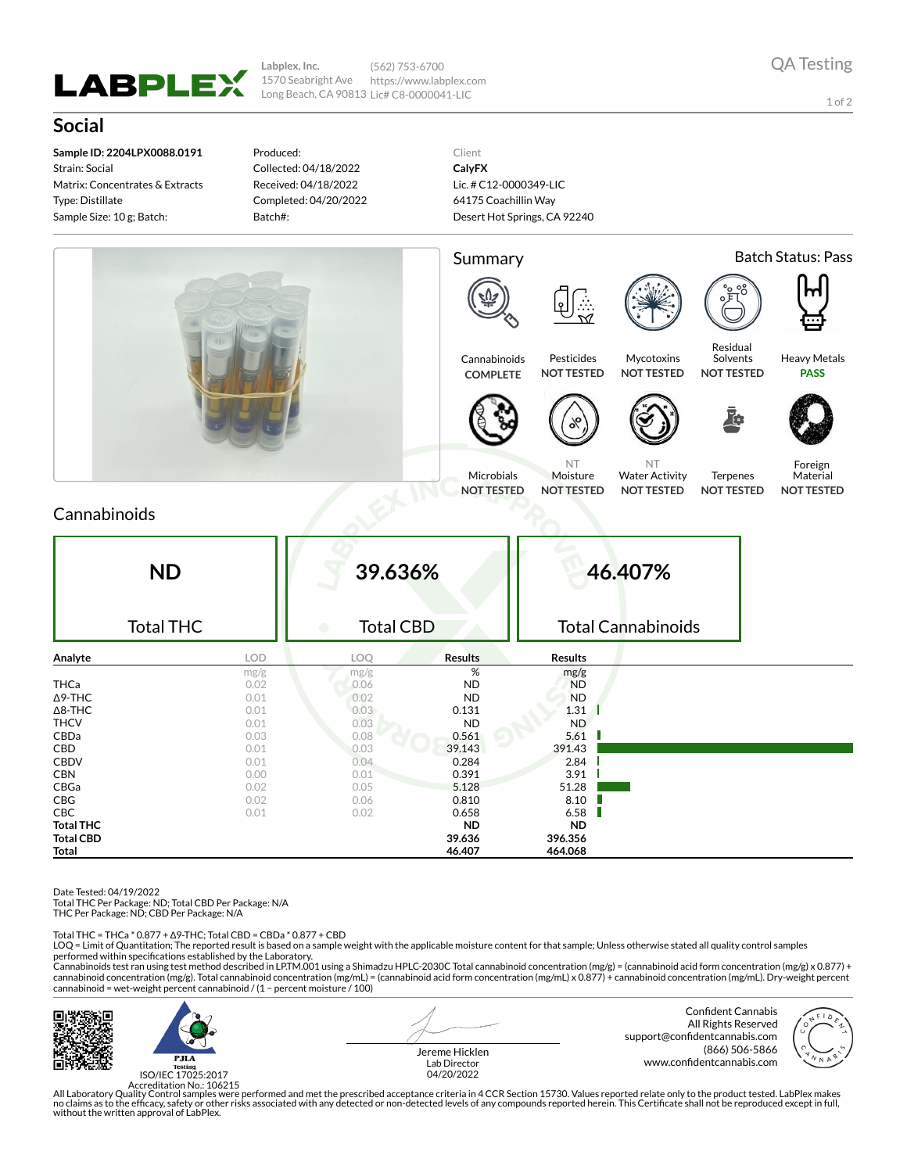

**Labplex, Inc.** 1570 Seabright Ave Long Beach, CA 90813 Lic# C8-0000041-LIC (562) 753-6700 https://www.labplex.com

1 of 2

## **Social**

**Sample ID: 2204LPX0088.0191** Strain: Social Matrix: Concentrates & Extracts Type: Distillate Sample Size: 10 g; Batch:

Produced: Collected: 04/18/2022 Received: 04/18/2022 Completed: 04/20/2022 Batch#:

Client **CalyFX** Lic. # C12-0000349-LIC 64175 Coachillin Way Desert Hot Springs, CA 92240



## Cannabinoids

| <b>ND</b><br><b>Total THC</b> |            | 39.636%<br><b>Total CBD</b><br>$\bullet$ |                | 46.407%<br><b>Total Cannabinoids</b> |  |
|-------------------------------|------------|------------------------------------------|----------------|--------------------------------------|--|
| Analyte                       | <b>LOD</b> | LOQ                                      | <b>Results</b> | <b>Results</b>                       |  |
|                               | mg/g       | mg/g                                     | $\%$           | mg/g                                 |  |
| <b>THCa</b>                   | 0.02       | 0.06                                     | <b>ND</b>      | <b>ND</b>                            |  |
| $\Delta$ 9-THC                | 0.01       | 0.02                                     | <b>ND</b>      | <b>ND</b>                            |  |
| $\Delta$ 8-THC                | 0.01       | 0.03                                     | 0.131          | 1.31                                 |  |
| <b>THCV</b>                   | 0.01       | 0.03                                     | ND             | ND.                                  |  |
| CBDa                          | 0.03       | 0.08                                     | 0.561          | 5.61                                 |  |
| CBD                           | 0.01       | 0.03                                     | 39.143         | 391.43                               |  |
| <b>CBDV</b>                   | 0.01       | 0.04                                     | 0.284          | 2.84                                 |  |
| <b>CBN</b>                    | 0.00       | 0.01                                     | 0.391          | 3.91                                 |  |
| CBGa                          | 0.02       | 0.05                                     | 5.128          | 51.28                                |  |
| CBG                           | 0.02       | 0.06                                     | 0.810          | 8.10                                 |  |
| <b>CBC</b>                    | 0.01       | 0.02                                     | 0.658          | 6.58                                 |  |
| <b>Total THC</b>              |            |                                          | <b>ND</b>      | ND.                                  |  |
| <b>Total CBD</b>              |            |                                          | 39.636         | 396.356                              |  |
| <b>Total</b>                  |            |                                          | 46.407         | 464.068                              |  |

Date Tested: 04/19/2022

Total THC Per Package: ND; Total CBD Per Package: N/A

THC Per Package: ND; CBD Per Package: N/A

Total THC = THCa \* 0.877 + ∆9-THC; Total CBD = CBDa \* 0.877 + CBD

LOQ = Limit of Quantitation; The reported result is based on a sample weight with the applicable moisture content for that sample; Unless otherwise stated all quality control samples performed within specifications established by the Laboratory.

Cannabinoids test ran using test method described in LP.TM.001 using a Shimadzu HPLC-2030C Total cannabinoid concentration (mg/g) = (cannabinoid acid form concentration (mg/g) x 0.877) +<br>cannabinoid concentration (mg/g). T cannabinoid = wet-weight percent cannabinoid / (1 − percent moisture / 100)



ISO/IEC 17025:2017

Jereme Hicklen Lab Director 04/20/2022

Confident Cannabis All Rights Reserved support@confidentcannabis.com (866) 506-5866 www.confidentcannabis.com



Accreditation No.: 106215<br>All Laboratory Quality Control samples were performed and met the prescribed acceptance criteria in 4 CCR Section 15730. Values reported relate only to the product tested. LabPlex makes<br>Ino claims without the written approval of LabPlex.